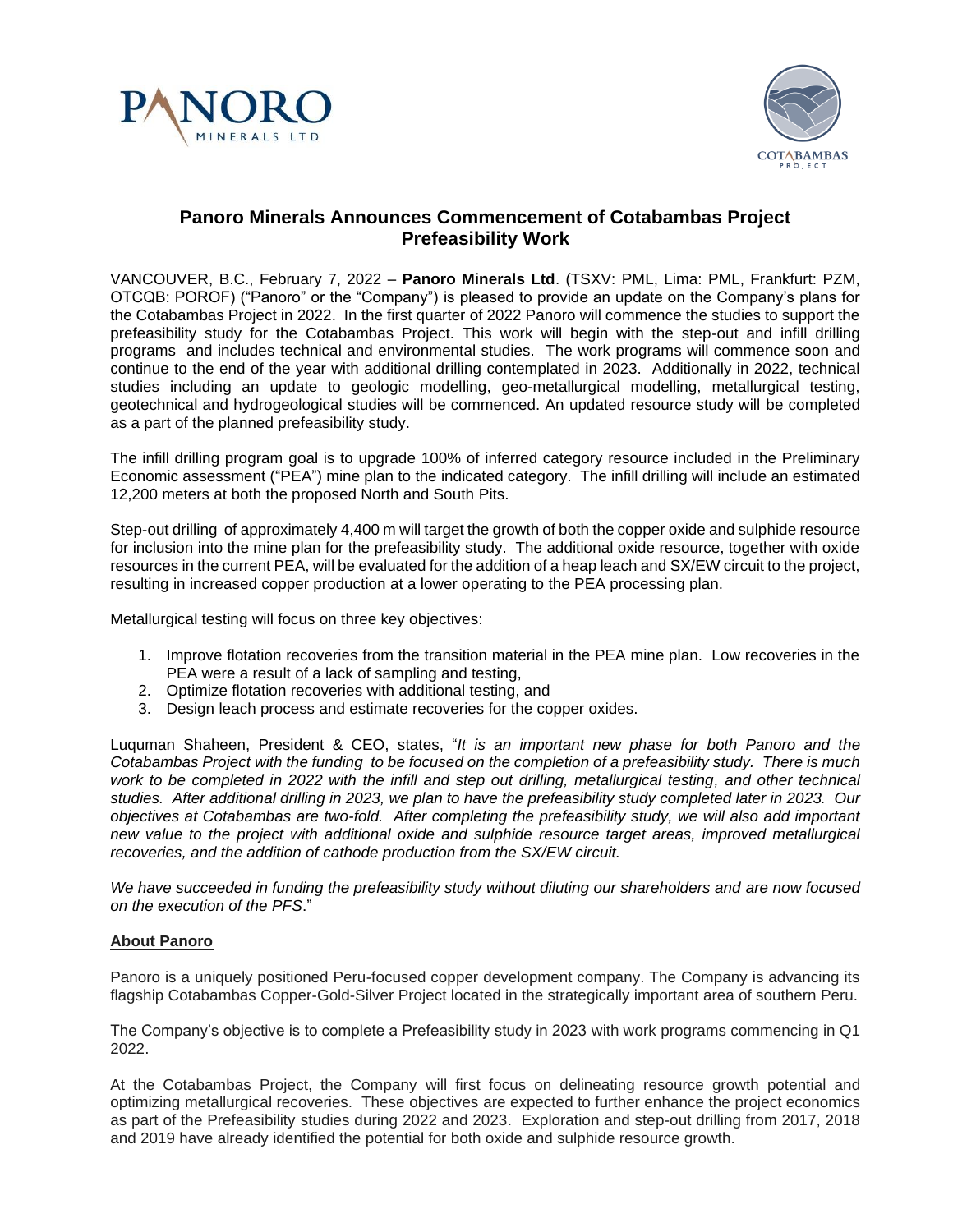



# **Panoro Minerals Announces Commencement of Cotabambas Project Prefeasibility Work**

VANCOUVER, B.C., February 7, 2022 – **Panoro Minerals Ltd**. (TSXV: PML, Lima: PML, Frankfurt: PZM, OTCQB: POROF) ("Panoro" or the "Company") is pleased to provide an update on the Company's plans for the Cotabambas Project in 2022. In the first quarter of 2022 Panoro will commence the studies to support the prefeasibility study for the Cotabambas Project. This work will begin with the step-out and infill drilling programs and includes technical and environmental studies. The work programs will commence soon and continue to the end of the year with additional drilling contemplated in 2023. Additionally in 2022, technical studies including an update to geologic modelling, geo-metallurgical modelling, metallurgical testing, geotechnical and hydrogeological studies will be commenced. An updated resource study will be completed as a part of the planned prefeasibility study.

The infill drilling program goal is to upgrade 100% of inferred category resource included in the Preliminary Economic assessment ("PEA") mine plan to the indicated category. The infill drilling will include an estimated 12,200 meters at both the proposed North and South Pits.

Step-out drilling of approximately 4,400 m will target the growth of both the copper oxide and sulphide resource for inclusion into the mine plan for the prefeasibility study. The additional oxide resource, together with oxide resources in the current PEA, will be evaluated for the addition of a heap leach and SX/EW circuit to the project, resulting in increased copper production at a lower operating to the PEA processing plan.

Metallurgical testing will focus on three key objectives:

- 1. Improve flotation recoveries from the transition material in the PEA mine plan. Low recoveries in the PEA were a result of a lack of sampling and testing,
- 2. Optimize flotation recoveries with additional testing, and
- 3. Design leach process and estimate recoveries for the copper oxides.

Luquman Shaheen, President & CEO, states, "*It is an important new phase for both Panoro and the Cotabambas Project with the funding to be focused on the completion of a prefeasibility study. There is much work to be completed in 2022 with the infill and step out drilling, metallurgical testing, and other technical studies. After additional drilling in 2023, we plan to have the prefeasibility study completed later in 2023. Our objectives at Cotabambas are two-fold. After completing the prefeasibility study, we will also add important new value to the project with additional oxide and sulphide resource target areas, improved metallurgical recoveries, and the addition of cathode production from the SX/EW circuit.* 

*We have succeeded in funding the prefeasibility study without diluting our shareholders and are now focused on the execution of the PFS*."

### **About Panoro**

Panoro is a uniquely positioned Peru-focused copper development company. The Company is advancing its flagship Cotabambas Copper-Gold-Silver Project located in the strategically important area of southern Peru.

The Company's objective is to complete a Prefeasibility study in 2023 with work programs commencing in Q1 2022.

At the Cotabambas Project, the Company will first focus on delineating resource growth potential and optimizing metallurgical recoveries. These objectives are expected to further enhance the project economics as part of the Prefeasibility studies during 2022 and 2023. Exploration and step-out drilling from 2017, 2018 and 2019 have already identified the potential for both oxide and sulphide resource growth.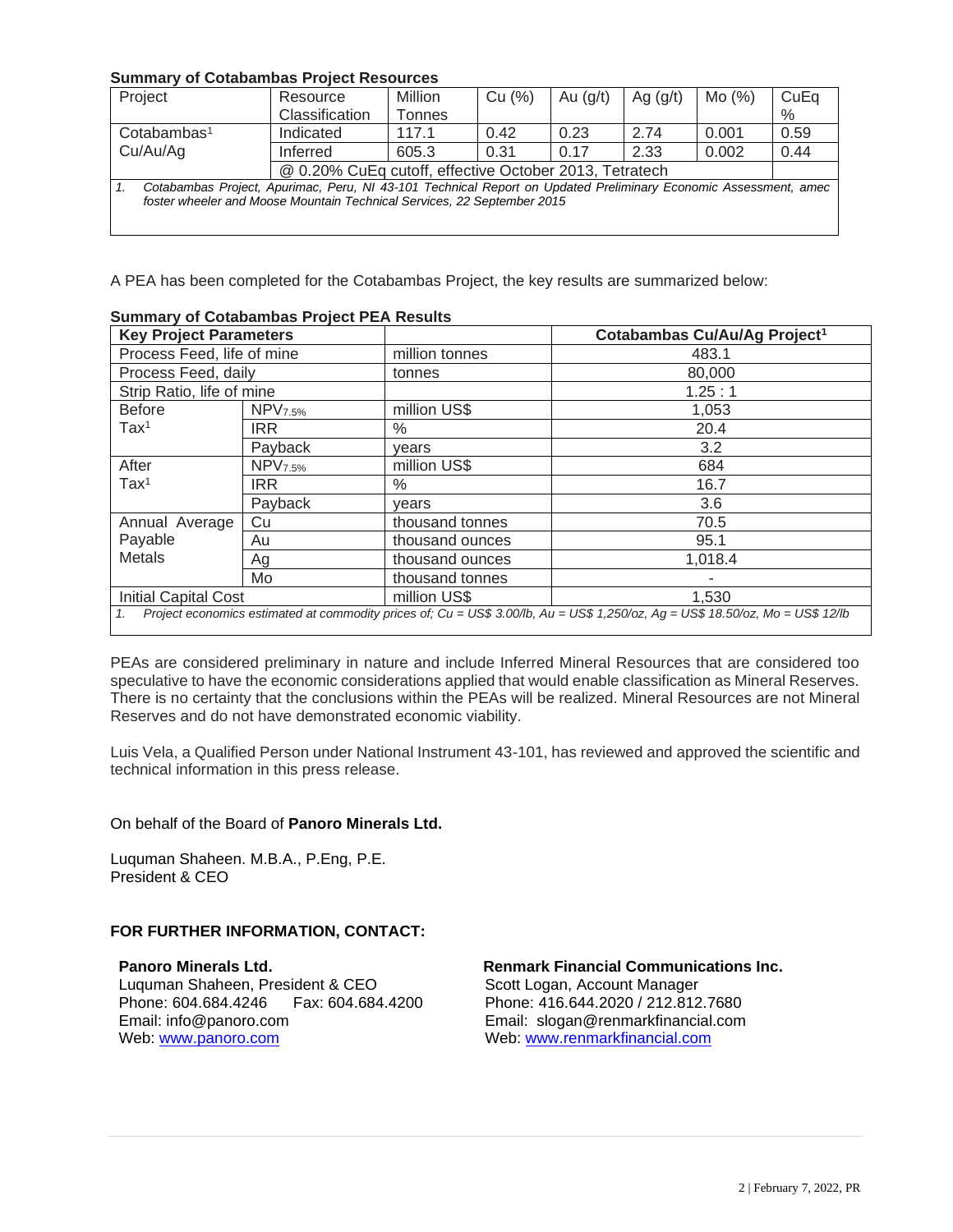### **Summary of Cotabambas Project Resources**

| Project                                                                                                         | Resource                                               | Million | Cu (%) | Au $(g/t)$ | Ag $(g/t)$ | Mo(%) | CuEq |
|-----------------------------------------------------------------------------------------------------------------|--------------------------------------------------------|---------|--------|------------|------------|-------|------|
|                                                                                                                 | Classification                                         | Tonnes  |        |            |            |       | $\%$ |
| $C$ otabambas <sup>1</sup>                                                                                      | Indicated                                              | 117.1   | 0.42   | 0.23       | 2.74       | 0.001 | 0.59 |
| Cu/Au/Ag                                                                                                        | Inferred                                               | 605.3   | 0.31   | 0.17       | 2.33       | 0.002 | 0.44 |
|                                                                                                                 | @ 0.20% CuEq cutoff, effective October 2013, Tetratech |         |        |            |            |       |      |
| Cotabambas Project, Apurimac, Peru, NI 43-101 Technical Report on Updated Preliminary Economic Assessment, amec |                                                        |         |        |            |            |       |      |
| foster wheeler and Moose Mountain Technical Services, 22 September 2015                                         |                                                        |         |        |            |            |       |      |
|                                                                                                                 |                                                        |         |        |            |            |       |      |

A PEA has been completed for the Cotabambas Project, the key results are summarized below:

| <b>Key Project Parameters</b>              |                 |                 | Cotabambas Cu/Au/Ag Project <sup>1</sup> |
|--------------------------------------------|-----------------|-----------------|------------------------------------------|
| Process Feed, life of mine                 |                 | million tonnes  | 483.1                                    |
| Process Feed, daily                        |                 | tonnes          | 80,000                                   |
| Strip Ratio, life of mine                  |                 |                 | 1.25:1                                   |
| <b>Before</b>                              | <b>NPV</b> 7.5% | million US\$    | 1,053                                    |
| Tax <sup>1</sup>                           | IRR             | %               | 20.4                                     |
|                                            | Payback         | vears           | 3.2                                      |
| After                                      | <b>NPV</b> 7.5% | million US\$    | 684                                      |
| Tax <sup>1</sup>                           | IRR             | $\%$            | 16.7                                     |
|                                            | Payback         | vears           | 3.6                                      |
| Annual Average<br>Payable<br><b>Metals</b> | Cu              | thousand tonnes | 70.5                                     |
|                                            | Au              | thousand ounces | 95.1                                     |
|                                            | Ag              | thousand ounces | 1,018.4                                  |
|                                            | Mo              | thousand tonnes |                                          |
| <b>Initial Capital Cost</b>                |                 | million US\$    | 1.530                                    |

## **Summary of Cotabambas Project PEA Results**

PEAs are considered preliminary in nature and include Inferred Mineral Resources that are considered too speculative to have the economic considerations applied that would enable classification as Mineral Reserves. There is no certainty that the conclusions within the PEAs will be realized. Mineral Resources are not Mineral Reserves and do not have demonstrated economic viability.

Luis Vela, a Qualified Person under National Instrument 43-101, has reviewed and approved the scientific and technical information in this press release.

### On behalf of the Board of **Panoro Minerals Ltd.**

Luquman Shaheen. M.B.A., P.Eng, P.E. President & CEO

### **FOR FURTHER INFORMATION, CONTACT:**

**Panoro Minerals Ltd.**

Luquman Shaheen, President & CEO Phone: 604.684.4246 Fax: 604.684.4200 Email: info@panoro.com Web: [www.panoro.com](http://www.panoro.com/)

**Renmark Financial Communications Inc.**

Scott Logan, Account Manager Phone: 416.644.2020 / 212.812.7680 Email: slogan@renmarkfinancial.com Web: [www.renmarkfinancial.com](http://www.renmarkfinancial.com/)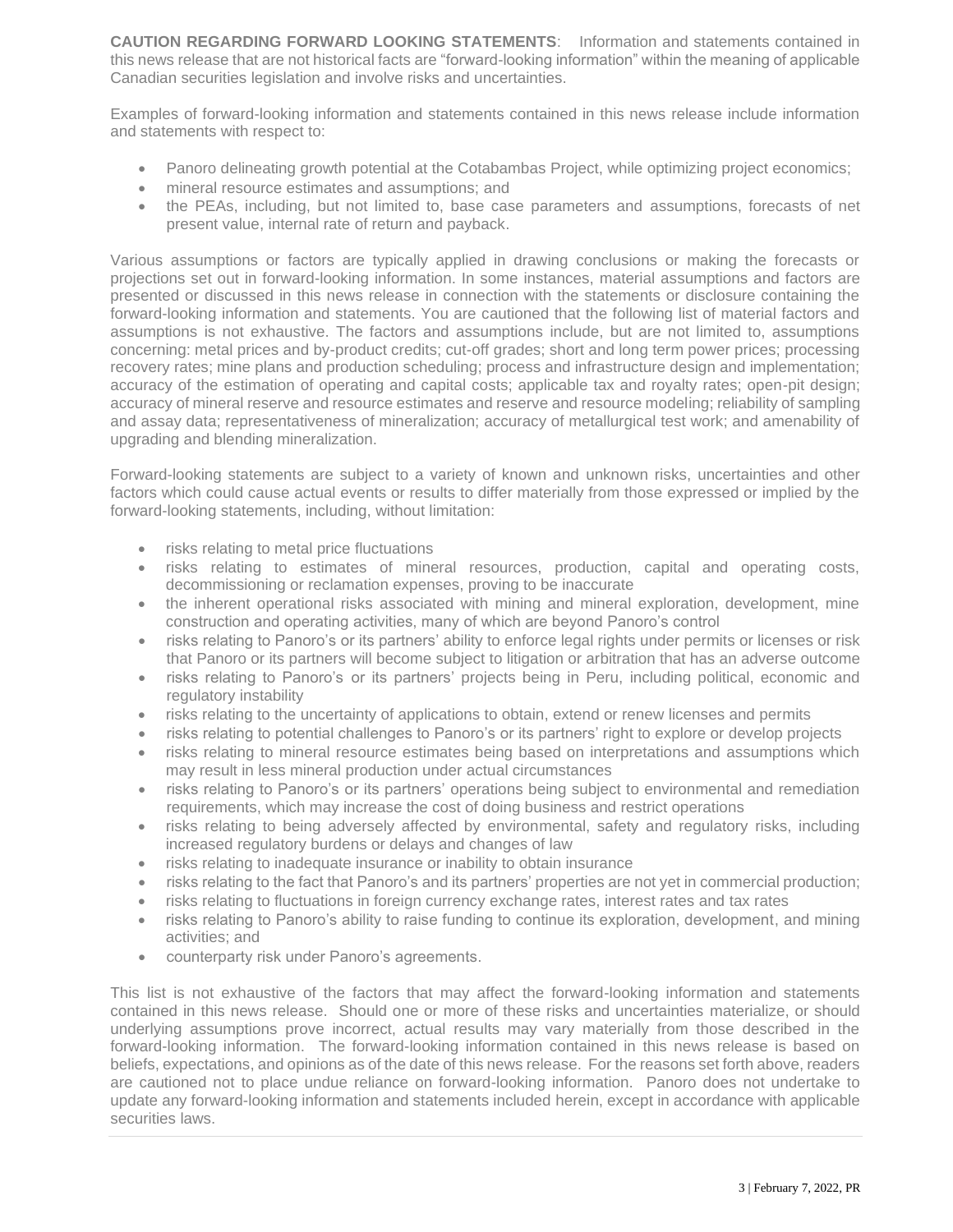**CAUTION REGARDING FORWARD LOOKING STATEMENTS**: Information and statements contained in this news release that are not historical facts are "forward-looking information" within the meaning of applicable Canadian securities legislation and involve risks and uncertainties.

Examples of forward-looking information and statements contained in this news release include information and statements with respect to:

- Panoro delineating growth potential at the Cotabambas Project, while optimizing project economics;
- mineral resource estimates and assumptions; and
- the PEAs, including, but not limited to, base case parameters and assumptions, forecasts of net present value, internal rate of return and payback.

Various assumptions or factors are typically applied in drawing conclusions or making the forecasts or projections set out in forward-looking information. In some instances, material assumptions and factors are presented or discussed in this news release in connection with the statements or disclosure containing the forward-looking information and statements. You are cautioned that the following list of material factors and assumptions is not exhaustive. The factors and assumptions include, but are not limited to, assumptions concerning: metal prices and by-product credits; cut-off grades; short and long term power prices; processing recovery rates; mine plans and production scheduling; process and infrastructure design and implementation; accuracy of the estimation of operating and capital costs; applicable tax and royalty rates; open-pit design; accuracy of mineral reserve and resource estimates and reserve and resource modeling; reliability of sampling and assay data; representativeness of mineralization; accuracy of metallurgical test work; and amenability of upgrading and blending mineralization.

Forward-looking statements are subject to a variety of known and unknown risks, uncertainties and other factors which could cause actual events or results to differ materially from those expressed or implied by the forward-looking statements, including, without limitation:

- risks relating to metal price fluctuations
- risks relating to estimates of mineral resources, production, capital and operating costs, decommissioning or reclamation expenses, proving to be inaccurate
- the inherent operational risks associated with mining and mineral exploration, development, mine construction and operating activities, many of which are beyond Panoro's control
- risks relating to Panoro's or its partners' ability to enforce legal rights under permits or licenses or risk that Panoro or its partners will become subject to litigation or arbitration that has an adverse outcome
- risks relating to Panoro's or its partners' projects being in Peru, including political, economic and regulatory instability
- risks relating to the uncertainty of applications to obtain, extend or renew licenses and permits
- risks relating to potential challenges to Panoro's or its partners' right to explore or develop projects
- risks relating to mineral resource estimates being based on interpretations and assumptions which may result in less mineral production under actual circumstances
- risks relating to Panoro's or its partners' operations being subject to environmental and remediation requirements, which may increase the cost of doing business and restrict operations
- risks relating to being adversely affected by environmental, safety and regulatory risks, including increased regulatory burdens or delays and changes of law
- risks relating to inadequate insurance or inability to obtain insurance
- risks relating to the fact that Panoro's and its partners' properties are not yet in commercial production;
- risks relating to fluctuations in foreign currency exchange rates, interest rates and tax rates
- risks relating to Panoro's ability to raise funding to continue its exploration, development, and mining activities; and
- counterparty risk under Panoro's agreements.

This list is not exhaustive of the factors that may affect the forward-looking information and statements contained in this news release. Should one or more of these risks and uncertainties materialize, or should underlying assumptions prove incorrect, actual results may vary materially from those described in the forward-looking information. The forward-looking information contained in this news release is based on beliefs, expectations, and opinions as of the date of this news release. For the reasons set forth above, readers are cautioned not to place undue reliance on forward-looking information. Panoro does not undertake to update any forward-looking information and statements included herein, except in accordance with applicable securities laws.